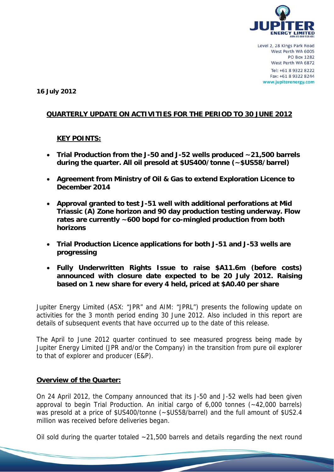

**16 July 2012** 

# **QUARTERLY UPDATE ON ACTIVITIES FOR THE PERIOD TO 30 JUNE 2012**

## **KEY POINTS:**

- **Trial Production from the J-50 and J-52 wells produced ~21,500 barrels during the quarter. All oil presold at \$US400/tonne (~\$US58/barrel)**
- **Agreement from Ministry of Oil & Gas to extend Exploration Licence to December 2014**
- **Approval granted to test J-51 well with additional perforations at Mid Triassic (A) Zone horizon and 90 day production testing underway. Flow rates are currently ~600 bopd for co-mingled production from both horizons**
- **Trial Production Licence applications for both J-51 and J-53 wells are progressing**
- **Fully Underwritten Rights Issue to raise \$A11.6m (before costs) announced with closure date expected to be 20 July 2012. Raising based on 1 new share for every 4 held, priced at \$A0.40 per share**

Jupiter Energy Limited (ASX: "JPR" and AIM: "JPRL") presents the following update on activities for the 3 month period ending 30 June 2012. Also included in this report are details of subsequent events that have occurred up to the date of this release.

The April to June 2012 quarter continued to see measured progress being made by Jupiter Energy Limited (JPR and/or the Company) in the transition from pure oil explorer to that of explorer and producer (E&P).

## **Overview of the Quarter:**

On 24 April 2012, the Company announced that its J-50 and J-52 wells had been given approval to begin Trial Production. An initial cargo of 6,000 tonnes (~42,000 barrels) was presold at a price of \$US400/tonne (~\$US58/barrel) and the full amount of \$US2.4 million was received before deliveries began.

Oil sold during the quarter totaled  $\sim$  21,500 barrels and details regarding the next round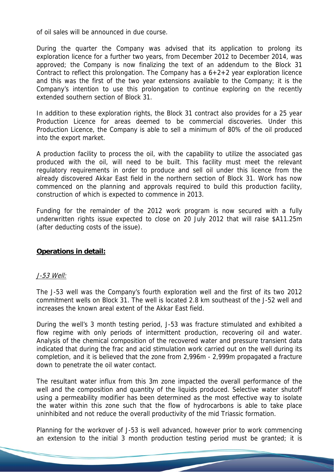of oil sales will be announced in due course.

During the quarter the Company was advised that its application to prolong its exploration licence for a further two years, from December 2012 to December 2014, was approved; the Company is now finalizing the text of an addendum to the Block 31 Contract to reflect this prolongation. The Company has a 6+2+2 year exploration licence and this was the first of the two year extensions available to the Company; it is the Company's intention to use this prolongation to continue exploring on the recently extended southern section of Block 31.

In addition to these exploration rights, the Block 31 contract also provides for a 25 year Production Licence for areas deemed to be commercial discoveries. Under this Production Licence, the Company is able to sell a minimum of 80% of the oil produced into the export market.

A production facility to process the oil, with the capability to utilize the associated gas produced with the oil, will need to be built. This facility must meet the relevant regulatory requirements in order to produce and sell oil under this licence from the already discovered Akkar East field in the northern section of Block 31. Work has now commenced on the planning and approvals required to build this production facility, construction of which is expected to commence in 2013.

Funding for the remainder of the 2012 work program is now secured with a fully underwritten rights issue expected to close on 20 July 2012 that will raise \$A11.25m (after deducting costs of the issue).

#### **Operations in detail:**

#### J-53 Well:

The J-53 well was the Company's fourth exploration well and the first of its two 2012 commitment wells on Block 31. The well is located 2.8 km southeast of the J-52 well and increases the known areal extent of the Akkar East field.

During the well's 3 month testing period, J-53 was fracture stimulated and exhibited a flow regime with only periods of intermittent production, recovering oil and water. Analysis of the chemical composition of the recovered water and pressure transient data indicated that during the frac and acid stimulation work carried out on the well during its completion, and it is believed that the zone from 2,996m - 2,999m propagated a fracture down to penetrate the oil water contact.

The resultant water influx from this 3m zone impacted the overall performance of the well and the composition and quantity of the liquids produced. Selective water shutoff using a permeability modifier has been determined as the most effective way to isolate the water within this zone such that the flow of hydrocarbons is able to take place uninhibited and not reduce the overall productivity of the mid Triassic formation.

Planning for the workover of J-53 is well advanced, however prior to work commencing an extension to the initial 3 month production testing period must be granted; it is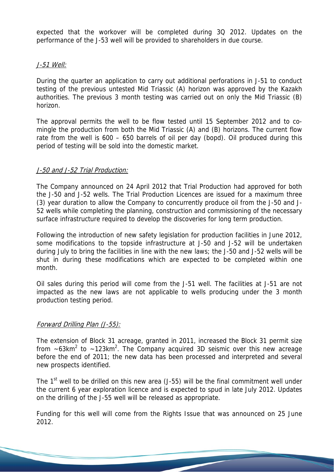expected that the workover will be completed during 3Q 2012. Updates on the performance of the J-53 well will be provided to shareholders in due course.

# J-51 Well:

During the quarter an application to carry out additional perforations in J-51 to conduct testing of the previous untested Mid Triassic (A) horizon was approved by the Kazakh authorities. The previous 3 month testing was carried out on only the Mid Triassic (B) horizon.

The approval permits the well to be flow tested until 15 September 2012 and to comingle the production from both the Mid Triassic (A) and (B) horizons. The current flow rate from the well is 600 – 650 barrels of oil per day (bopd). Oil produced during this period of testing will be sold into the domestic market.

# J-50 and J-52 Trial Production:

The Company announced on 24 April 2012 that Trial Production had approved for both the J-50 and J-52 wells. The Trial Production Licences are issued for a maximum three (3) year duration to allow the Company to concurrently produce oil from the J-50 and J-52 wells while completing the planning, construction and commissioning of the necessary surface infrastructure required to develop the discoveries for long term production.

Following the introduction of new safety legislation for production facilities in June 2012, some modifications to the topside infrastructure at J-50 and J-52 will be undertaken during July to bring the facilities in line with the new laws; the J-50 and J-52 wells will be shut in during these modifications which are expected to be completed within one month.

Oil sales during this period will come from the J-51 well. The facilities at J-51 are not impacted as the new laws are not applicable to wells producing under the 3 month production testing period.

# Forward Drilling Plan (J-55):

The extension of Block 31 acreage, granted in 2011, increased the Block 31 permit size from  $\sim$  63km<sup>2</sup> to  $\sim$  123km<sup>2</sup>. The Company acquired 3D seismic over this new acreage before the end of 2011; the new data has been processed and interpreted and several new prospects identified.

The  $1<sup>st</sup>$  well to be drilled on this new area (J-55) will be the final commitment well under the current 6 year exploration licence and is expected to spud in late July 2012. Updates on the drilling of the J-55 well will be released as appropriate.

Funding for this well will come from the Rights Issue that was announced on 25 June 2012.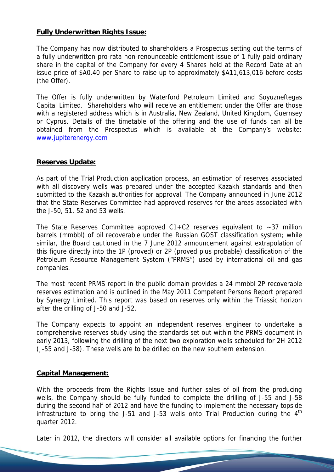## **Fully Underwritten Rights Issue:**

The Company has now distributed to shareholders a Prospectus setting out the terms of a fully underwritten pro-rata non-renounceable entitlement issue of 1 fully paid ordinary share in the capital of the Company for every 4 Shares held at the Record Date at an issue price of \$A0.40 per Share to raise up to approximately \$A11,613,016 before costs (the Offer).

The Offer is fully underwritten by Waterford Petroleum Limited and Soyuzneftegas Capital Limited. Shareholders who will receive an entitlement under the Offer are those with a registered address which is in Australia, New Zealand, United Kingdom, Guernsey or Cyprus. Details of the timetable of the offering and the use of funds can all be obtained from the Prospectus which is available at the Company's website: www.jupiterenergy.com

## **Reserves Update:**

As part of the Trial Production application process, an estimation of reserves associated with all discovery wells was prepared under the accepted Kazakh standards and then submitted to the Kazakh authorities for approval. The Company announced in June 2012 that the State Reserves Committee had approved reserves for the areas associated with the J-50, 51, 52 and 53 wells.

The State Reserves Committee approved  $C1+C2$  reserves equivalent to  $\sim$ 37 million barrels (mmbbl) of oil recoverable under the Russian GOST classification system; while similar, the Board cautioned in the 7 June 2012 announcement against extrapolation of this figure directly into the 1P (proved) or 2P (proved plus probable) classification of the Petroleum Resource Management System ("PRMS") used by international oil and gas companies.

The most recent PRMS report in the public domain provides a 24 mmbbl 2P recoverable reserves estimation and is outlined in the May 2011 Competent Persons Report prepared by Synergy Limited. This report was based on reserves only within the Triassic horizon after the drilling of J-50 and J-52.

The Company expects to appoint an independent reserves engineer to undertake a comprehensive reserves study using the standards set out within the PRMS document in early 2013, following the drilling of the next two exploration wells scheduled for 2H 2012 (J-55 and J-58). These wells are to be drilled on the new southern extension.

## **Capital Management:**

With the proceeds from the Rights Issue and further sales of oil from the producing wells, the Company should be fully funded to complete the drilling of J-55 and J-58 during the second half of 2012 and have the funding to implement the necessary topside infrastructure to bring the J-51 and J-53 wells onto Trial Production during the  $4<sup>th</sup>$ quarter 2012.

Later in 2012, the directors will consider all available options for financing the further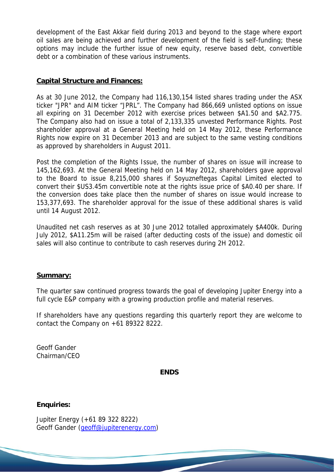development of the East Akkar field during 2013 and beyond to the stage where export oil sales are being achieved and further development of the field is self-funding; these options may include the further issue of new equity, reserve based debt, convertible debt or a combination of these various instruments.

## **Capital Structure and Finances:**

As at 30 June 2012, the Company had 116,130,154 listed shares trading under the ASX ticker "JPR" and AIM ticker "JPRL". The Company had 866,669 unlisted options on issue all expiring on 31 December 2012 with exercise prices between \$A1.50 and \$A2.775. The Company also had on issue a total of 2,133,335 unvested Performance Rights. Post shareholder approval at a General Meeting held on 14 May 2012, these Performance Rights now expire on 31 December 2013 and are subject to the same vesting conditions as approved by shareholders in August 2011.

Post the completion of the Rights Issue, the number of shares on issue will increase to 145,162,693. At the General Meeting held on 14 May 2012, shareholders gave approval to the Board to issue 8,215,000 shares if Soyuzneftegas Capital Limited elected to convert their \$US3.45m convertible note at the rights issue price of \$A0.40 per share. If the conversion does take place then the number of shares on issue would increase to 153,377,693. The shareholder approval for the issue of these additional shares is valid until 14 August 2012.

Unaudited net cash reserves as at 30 June 2012 totalled approximately \$A400k. During July 2012, \$A11.25m will be raised (after deducting costs of the issue) and domestic oil sales will also continue to contribute to cash reserves during 2H 2012.

## **Summary:**

The quarter saw continued progress towards the goal of developing Jupiter Energy into a full cycle E&P company with a growing production profile and material reserves.

If shareholders have any questions regarding this quarterly report they are welcome to contact the Company on  $+61$  89322 8222.

Geoff Gander Chairman/CEO

**ENDS** 

## **Enquiries:**

Jupiter Energy (+61 89 322 8222) Geoff Gander (geoff@jupiterenergy.com)